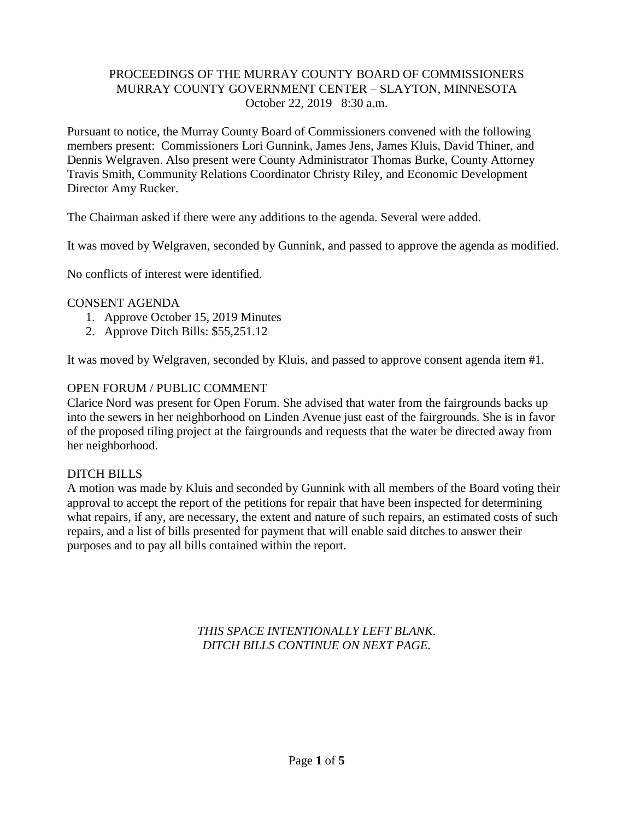## PROCEEDINGS OF THE MURRAY COUNTY BOARD OF COMMISSIONERS MURRAY COUNTY GOVERNMENT CENTER – SLAYTON, MINNESOTA October 22, 2019 8:30 a.m.

Pursuant to notice, the Murray County Board of Commissioners convened with the following members present: Commissioners Lori Gunnink, James Jens, James Kluis, David Thiner, and Dennis Welgraven. Also present were County Administrator Thomas Burke, County Attorney Travis Smith, Community Relations Coordinator Christy Riley, and Economic Development Director Amy Rucker.

The Chairman asked if there were any additions to the agenda. Several were added.

It was moved by Welgraven, seconded by Gunnink, and passed to approve the agenda as modified.

No conflicts of interest were identified.

#### CONSENT AGENDA

- 1. Approve October 15, 2019 Minutes
- 2. Approve Ditch Bills: \$55,251.12

It was moved by Welgraven, seconded by Kluis, and passed to approve consent agenda item #1.

#### OPEN FORUM / PUBLIC COMMENT

Clarice Nord was present for Open Forum. She advised that water from the fairgrounds backs up into the sewers in her neighborhood on Linden Avenue just east of the fairgrounds. She is in favor of the proposed tiling project at the fairgrounds and requests that the water be directed away from her neighborhood.

## DITCH BILLS

A motion was made by Kluis and seconded by Gunnink with all members of the Board voting their approval to accept the report of the petitions for repair that have been inspected for determining what repairs, if any, are necessary, the extent and nature of such repairs, an estimated costs of such repairs, and a list of bills presented for payment that will enable said ditches to answer their purposes and to pay all bills contained within the report.

> *THIS SPACE INTENTIONALLY LEFT BLANK. DITCH BILLS CONTINUE ON NEXT PAGE.*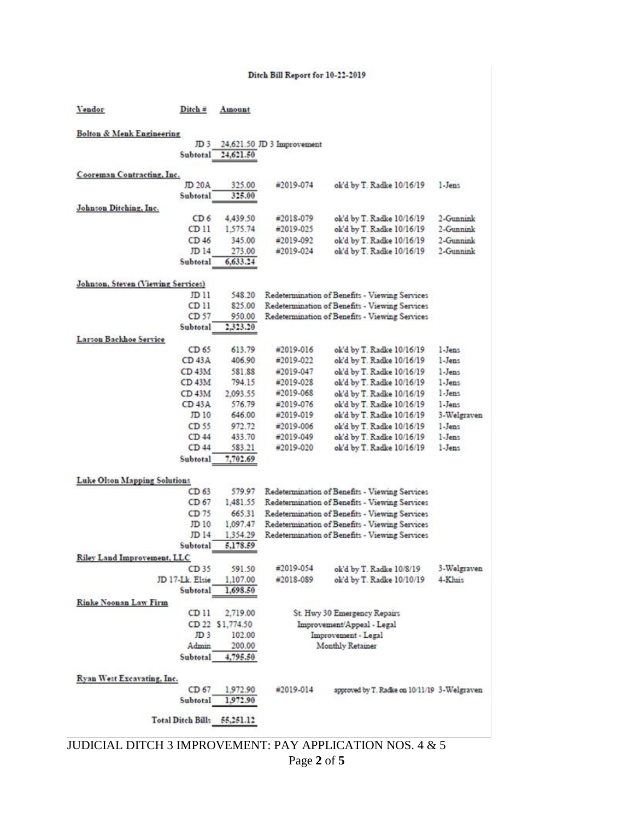#### Ditch Bill Report for 10-22-2019

| Vendor                               | Ditch #                  | Amount     |                                                |                                                |             |  |  |
|--------------------------------------|--------------------------|------------|------------------------------------------------|------------------------------------------------|-------------|--|--|
| <b>Bolton &amp; Menk Engineering</b> |                          |            |                                                |                                                |             |  |  |
|                                      | JD <sub>3</sub>          |            | 24,621.50 JD 3 Improvement                     |                                                |             |  |  |
|                                      | Subtotal                 | 24,621.50  |                                                |                                                |             |  |  |
| Cooreman Contracting, Inc.           |                          |            |                                                |                                                |             |  |  |
|                                      | JD 20A                   | 325.00     | #2019-074                                      | ok'd by T. Radke 10/16/19                      | 1-Jens      |  |  |
|                                      | Subtotal                 | 325.00     |                                                |                                                |             |  |  |
| Johnson Ditching, Inc.               |                          |            |                                                |                                                |             |  |  |
|                                      | CD <sub>6</sub>          | 4,439.50   | #2018-079                                      | ok'd by T. Radke 10/16/19                      | 2-Gunnink   |  |  |
|                                      | CD 11                    | 1,575.74   | #2019-025                                      | ok'd by T. Radke 10/16/19                      | 2-Gunnink   |  |  |
|                                      | CD46                     | 345.00     | #2019-092                                      | ok'd by T. Radke 10/16/19                      | 2-Gunnink   |  |  |
|                                      | JD 14                    | 273.00     | #2019-024                                      | ok'd by T. Radke 10/16/19                      | 2-Gunnink   |  |  |
|                                      | Subtotal                 | 6,633.24   |                                                |                                                |             |  |  |
|                                      |                          |            |                                                |                                                |             |  |  |
| Johnson, Steven (Viewing Services)   |                          |            |                                                |                                                |             |  |  |
|                                      | JD 11                    | 548.20     | Redetermination of Benefits - Viewing Services |                                                |             |  |  |
|                                      | CD 11                    | 825.00     |                                                | Redetermination of Benefits - Viewing Services |             |  |  |
|                                      | CD 57                    | 950.00     |                                                | Redetermination of Benefits - Viewing Services |             |  |  |
|                                      | Subtotal                 | 2,323.20   |                                                |                                                |             |  |  |
| Larson Backhoe Service               |                          |            |                                                |                                                |             |  |  |
|                                      | CD 65                    | 613.79     | #2019-016                                      | ok'd by T. Radke 10/16/19                      | 1-Jens      |  |  |
|                                      | CD 43A                   | 406.90     | #2019-022                                      | ok'd by T. Radke 10/16/19                      | 1-Jens      |  |  |
|                                      | CD <sub>43M</sub>        | 581.88     | #2019-047                                      | ok'd by T. Radke 10/16/19                      | 1-Jens      |  |  |
|                                      | CD <sub>43M</sub>        | 794.15     | #2019-028                                      | ok'd by T. Radke 10/16/19                      | 1-Jens      |  |  |
|                                      | CD 43M                   | 2,093.55   | #2019-068                                      | ok'd by T. Radke 10/16/19                      | 1-Jens      |  |  |
|                                      | CD <sub>43A</sub>        | 576.79     | #2019-076                                      | ok'd by T. Radke 10/16/19                      | 1-Jens      |  |  |
|                                      | JD 10                    | 646.00     | #2019-019                                      | ok'd by T. Radke 10/16/19                      | 3-Welgraven |  |  |
|                                      | CD 55                    | 972.72     | #2019-006                                      | ok'd by T. Radke 10/16/19                      | 1-Jens      |  |  |
|                                      | CD <sub>44</sub>         | 433.70     | #2019-049                                      | ok'd by T. Radke 10/16/19                      | 1-Jens      |  |  |
|                                      | CD 44                    | 583.21     | #2019-020                                      | ok'd by T. Radke 10/16/19                      | 1-Jens      |  |  |
|                                      | Subtotal                 | 7,702.69   |                                                |                                                |             |  |  |
|                                      |                          |            |                                                |                                                |             |  |  |
| Luke Olton Mapping Solutions         |                          |            |                                                |                                                |             |  |  |
|                                      | CD 63                    | 579.97     | Redetermination of Benefits - Viewing Services |                                                |             |  |  |
|                                      | CD 67                    | 1,481.55   | Redetermination of Benefits - Viewing Services |                                                |             |  |  |
|                                      | CD <sub>75</sub>         | 665.31     | Redetermination of Benefits - Viewing Services |                                                |             |  |  |
|                                      | JD 10                    | 1,097.47   | Redetermination of Benefits - Viewing Services |                                                |             |  |  |
|                                      | JD 14                    | 1,354.29   |                                                | Redetermination of Benefits - Viewing Services |             |  |  |
|                                      | Subtotal                 | 5,178.59   |                                                |                                                |             |  |  |
| <b>Riley Land Improvement, LLC</b>   |                          |            |                                                |                                                |             |  |  |
|                                      | CD 35                    | 591.50     | #2019-054                                      | ok'd by T. Radke 10/8/19                       | 3-Welgraven |  |  |
|                                      | JD 17-Lk. Elsie          | 1,107.00   | #2018-089                                      | ok'd by T. Radke 10/10/19                      | 4-Khuis     |  |  |
|                                      | Subtotal                 | 1,698.50   |                                                |                                                |             |  |  |
| <b>Rinke Noonan Law Firm</b>         |                          |            |                                                |                                                |             |  |  |
|                                      | CD 11                    | 2,719.00   |                                                | St. Hwy 30 Emergency Repairs                   |             |  |  |
|                                      | CD <sub>22</sub>         | \$1,774.50 | Improvement/Appeal - Legal                     |                                                |             |  |  |
|                                      | JD <sub>3</sub>          | 102.00     | Improvement - Legal                            |                                                |             |  |  |
|                                      | Admin                    | 200.00     |                                                | Monthly Retainer                               |             |  |  |
|                                      | Subtotal                 | 4,795.50   |                                                |                                                |             |  |  |
| Ryan West Excavating, Inc.           |                          |            |                                                |                                                |             |  |  |
|                                      | CD <sub>67</sub>         | 1,972.90   | #2019-014                                      | approved by T. Radke on 10/11/19 3-Welgraven   |             |  |  |
|                                      | Subtotal                 | 1,972.90   |                                                |                                                |             |  |  |
|                                      |                          |            |                                                |                                                |             |  |  |
|                                      | <b>Total Ditch Bill:</b> | 55,251.12  |                                                |                                                |             |  |  |
|                                      |                          |            |                                                |                                                |             |  |  |

Page **2** of **5** JUDICIAL DITCH 3 IMPROVEMENT: PAY APPLICATION NOS. 4 & 5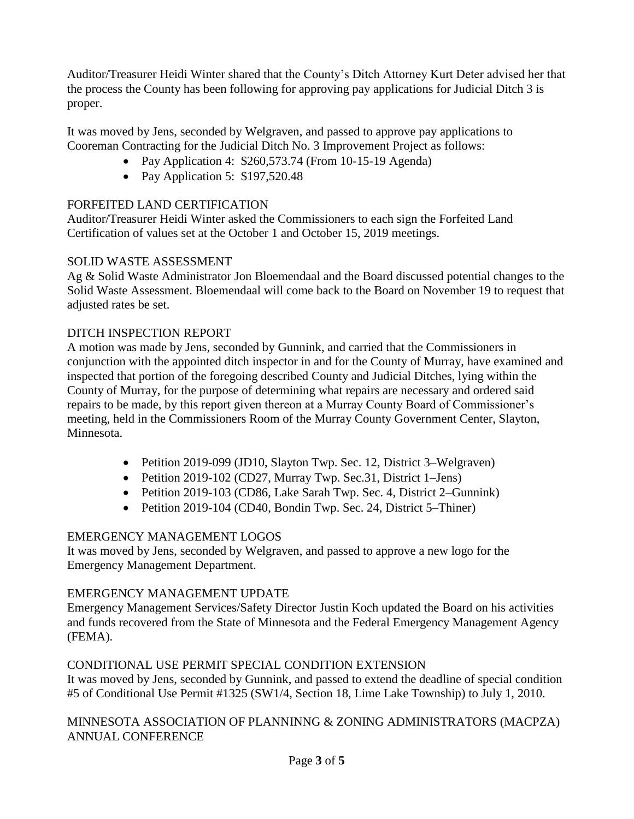Auditor/Treasurer Heidi Winter shared that the County's Ditch Attorney Kurt Deter advised her that the process the County has been following for approving pay applications for Judicial Ditch 3 is proper.

It was moved by Jens, seconded by Welgraven, and passed to approve pay applications to Cooreman Contracting for the Judicial Ditch No. 3 Improvement Project as follows:

- Pay Application 4: \$260,573.74 (From 10-15-19 Agenda)
- Pay Application 5: \$197,520.48

# FORFEITED LAND CERTIFICATION

Auditor/Treasurer Heidi Winter asked the Commissioners to each sign the Forfeited Land Certification of values set at the October 1 and October 15, 2019 meetings.

# SOLID WASTE ASSESSMENT

Ag & Solid Waste Administrator Jon Bloemendaal and the Board discussed potential changes to the Solid Waste Assessment. Bloemendaal will come back to the Board on November 19 to request that adjusted rates be set.

# DITCH INSPECTION REPORT

A motion was made by Jens, seconded by Gunnink, and carried that the Commissioners in conjunction with the appointed ditch inspector in and for the County of Murray, have examined and inspected that portion of the foregoing described County and Judicial Ditches, lying within the County of Murray, for the purpose of determining what repairs are necessary and ordered said repairs to be made, by this report given thereon at a Murray County Board of Commissioner's meeting, held in the Commissioners Room of the Murray County Government Center, Slayton, Minnesota.

- Petition 2019-099 (JD10, Slayton Twp. Sec. 12, District 3–Welgraven)
- Petition 2019-102 (CD27, Murray Twp. Sec.31, District 1–Jens)
- Petition 2019-103 (CD86, Lake Sarah Twp. Sec. 4, District 2–Gunnink)
- Petition 2019-104 (CD40, Bondin Twp. Sec. 24, District 5–Thiner)

# EMERGENCY MANAGEMENT LOGOS

It was moved by Jens, seconded by Welgraven, and passed to approve a new logo for the Emergency Management Department.

# EMERGENCY MANAGEMENT UPDATE

Emergency Management Services/Safety Director Justin Koch updated the Board on his activities and funds recovered from the State of Minnesota and the Federal Emergency Management Agency (FEMA).

# CONDITIONAL USE PERMIT SPECIAL CONDITION EXTENSION

It was moved by Jens, seconded by Gunnink, and passed to extend the deadline of special condition #5 of Conditional Use Permit #1325 (SW1/4, Section 18, Lime Lake Township) to July 1, 2010.

MINNESOTA ASSOCIATION OF PLANNINNG & ZONING ADMINISTRATORS (MACPZA) ANNUAL CONFERENCE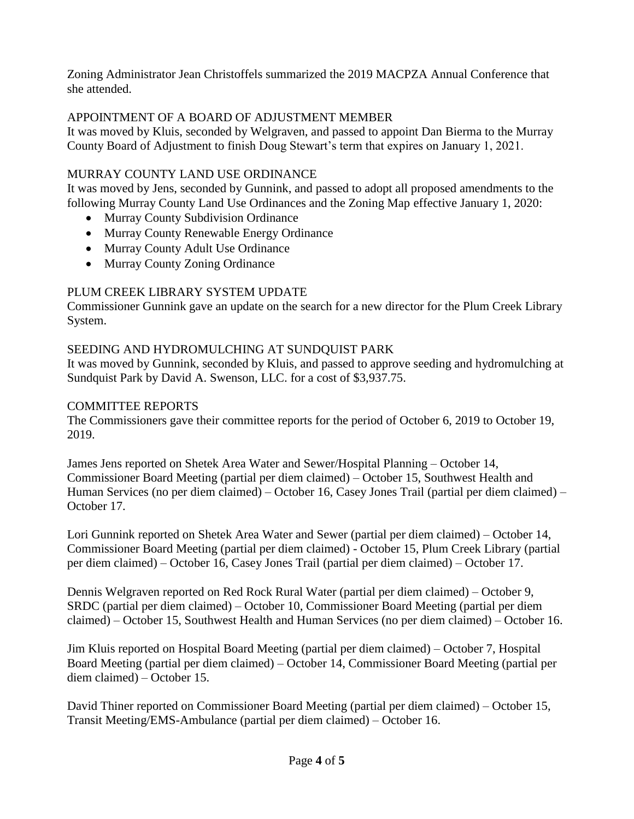Zoning Administrator Jean Christoffels summarized the 2019 MACPZA Annual Conference that she attended.

# APPOINTMENT OF A BOARD OF ADJUSTMENT MEMBER

It was moved by Kluis, seconded by Welgraven, and passed to appoint Dan Bierma to the Murray County Board of Adjustment to finish Doug Stewart's term that expires on January 1, 2021.

# MURRAY COUNTY LAND USE ORDINANCE

It was moved by Jens, seconded by Gunnink, and passed to adopt all proposed amendments to the following Murray County Land Use Ordinances and the Zoning Map effective January 1, 2020:

- Murray County Subdivision Ordinance
- Murray County Renewable Energy Ordinance
- Murray County Adult Use Ordinance
- Murray County Zoning Ordinance

# PLUM CREEK LIBRARY SYSTEM UPDATE

Commissioner Gunnink gave an update on the search for a new director for the Plum Creek Library System.

# SEEDING AND HYDROMULCHING AT SUNDQUIST PARK

It was moved by Gunnink, seconded by Kluis, and passed to approve seeding and hydromulching at Sundquist Park by David A. Swenson, LLC. for a cost of \$3,937.75.

# COMMITTEE REPORTS

The Commissioners gave their committee reports for the period of October 6, 2019 to October 19, 2019.

James Jens reported on Shetek Area Water and Sewer/Hospital Planning – October 14, Commissioner Board Meeting (partial per diem claimed) – October 15, Southwest Health and Human Services (no per diem claimed) – October 16, Casey Jones Trail (partial per diem claimed) – October 17.

Lori Gunnink reported on Shetek Area Water and Sewer (partial per diem claimed) – October 14, Commissioner Board Meeting (partial per diem claimed) - October 15, Plum Creek Library (partial per diem claimed) – October 16, Casey Jones Trail (partial per diem claimed) – October 17.

Dennis Welgraven reported on Red Rock Rural Water (partial per diem claimed) – October 9, SRDC (partial per diem claimed) – October 10, Commissioner Board Meeting (partial per diem claimed) – October 15, Southwest Health and Human Services (no per diem claimed) – October 16.

Jim Kluis reported on Hospital Board Meeting (partial per diem claimed) – October 7, Hospital Board Meeting (partial per diem claimed) – October 14, Commissioner Board Meeting (partial per diem claimed) – October 15.

David Thiner reported on Commissioner Board Meeting (partial per diem claimed) – October 15, Transit Meeting/EMS-Ambulance (partial per diem claimed) – October 16.